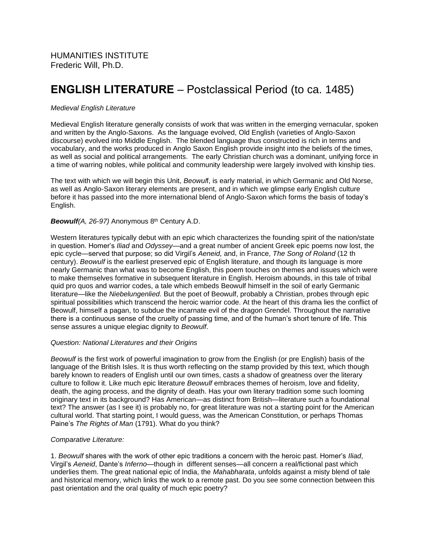# **ENGLISH LITERATURE** – Postclassical Period (to ca. 1485)

# *Medieval English Literature*

Medieval English literature generally consists of work that was written in the emerging vernacular, spoken and written by the Anglo-Saxons. As the language evolved, Old English (varieties of Anglo-Saxon discourse) evolved into Middle English. The blended language thus constructed is rich in terms and vocabulary, and the works produced in Anglo Saxon English provide insight into the beliefs of the times, as well as social and political arrangements. The early Christian church was a dominant, unifying force in a time of warring nobles, while political and community leadership were largely involved with kinship ties.

The text with which we will begin this Unit, *Beowul*f, is early material, in which Germanic and Old Norse, as well as Anglo-Saxon literary elements are present, and in which we glimpse early English culture before it has passed into the more international blend of Anglo-Saxon which forms the basis of today's English.

# *Beowulf(A, 26-97)* Anonymous 8th Century A.D.

Western literatures typically debut with an epic which characterizes the founding spirit of the nation/state in question. Homer's *Iliad* and *Odyssey*—and a great number of ancient Greek epic poems now lost, the epic cycle—served that purpose; so did Virgil's *Aeneid,* and, in France, *The Song of Roland* (12 th century). *Beowulf* is the earliest preserved epic of English literature, and though its language is more nearly Germanic than what was to become English, this poem touches on themes and issues which were to make themselves formative in subsequent literature in English. Heroism abounds, in this tale of tribal quid pro quos and warrior codes, a tale which embeds Beowulf himself in the soil of early Germanic literature—like the *Niebelungenlied*. But the poet of Beowulf, probably a Christian, probes through epic spiritual possibilities which transcend the heroic warrior code. At the heart of this drama lies the conflict of Beowulf, himself a pagan, to subdue the incarnate evil of the dragon Grendel. Throughout the narrative there is a continuous sense of the cruelty of passing time, and of the human's short tenure of life. This sense assures a unique elegiac dignity to *Beowulf*.

## *Question: National Literatures and their Origins*

*Beowulf* is the first work of powerful imagination to grow from the English (or pre English) basis of the language of the British Isles. It is thus worth reflecting on the stamp provided by this text, which though barely known to readers of English until our own times, casts a shadow of greatness over the literary culture to follow it. Like much epic literature *Beowulf* embraces themes of heroism, love and fidelity, death, the aging process, and the dignity of death. Has your own literary tradition some such looming originary text in its background? Has American—as distinct from British—literature such a foundational text? The answer (as I see it) is probably no, for great literature was not a starting point for the American cultural world. That starting point, I would guess, was the American Constitution, or perhaps Thomas Paine's *The Rights of Man* (1791). What do you think?

## *Comparative Literature:*

1. *Beowulf* shares with the work of other epic traditions a concern with the heroic past. Homer's *Iliad*, Virgil's *Aeneid*, Dante's *Inferno*—though in different senses—all concern a real/fictional past which underlies them. The great national epic of India, the *Mahabharata*, unfolds against a misty blend of tale and historical memory, which links the work to a remote past. Do you see some connection between this past orientation and the oral quality of much epic poetry?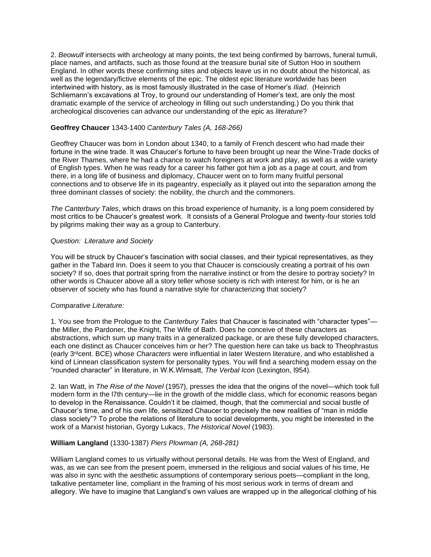2. *Beowulf* intersects with archeology at many points, the text being confirmed by barrows, funeral tumuli, place names, and artifacts, such as those found at the treasure burial site of Sutton Hoo in southern England. In other words these confirming sites and objects leave us in no doubt about the historical, as well as the legendary/fictive elements of the epic. The oldest epic literature worldwide has been intertwined with history, as is most famously illustrated in the case of Homer's *Iliad*. (Heinrich Schliemann's excavations at Troy, to ground our understanding of Homer's text, are only the most dramatic example of the service of archeology in filling out such understanding.) Do you think that archeological discoveries can advance our understanding of the epic as *literature*?

# **Geoffrey Chaucer** 1343-1400 *Canterbury Tales (A, 168-266)*

Geoffrey Chaucer was born in London about 1340, to a family of French descent who had made their fortune in the wine trade. It was Chaucer's fortune to have been brought up near the Wine-Trade docks of the River Thames, where he had a chance to watch foreigners at work and play, as well as a wide variety of English types. When he was ready for a career his father got him a job as a page at court, and from there, in a long life of business and diplomacy, Chaucer went on to form many fruitful personal connections and to observe life in its pageantry, especially as it played out into the separation among the three dominant classes of society: the nobility, the church and the commoners.

*The Canterbury Tales*, which draws on this broad experience of humanity, is a long poem considered by most critics to be Chaucer's greatest work. It consists of a General Prologue and twenty-four stories told by pilgrims making their way as a group to Canterbury.

#### *Question: Literature and Society*

You will be struck by Chaucer's fascination with social classes, and their typical representatives, as they gather in the Tabard Inn. Does it seem to you that Chaucer is consciously creating a portrait of his own society? If so, does that portrait spring from the narrative instinct or from the desire to portray society? In other words is Chaucer above all a story teller whose society is rich with interest for him, or is he an observer of society who has found a narrative style for characterizing that society?

## *Comparative Literature:*

1. You see from the Prologue to the *Canterbury Tales* that Chaucer is fascinated with "character types" the Miller, the Pardoner, the Knight, The Wife of Bath. Does he conceive of these characters as abstractions, which sum up many traits in a generalized package, or are these fully developed characters, each one distinct as Chaucer conceives him or her? The question here can take us back to Theophrastus (early 3rdcent. BCE) whose *Characters* were influential in later Western literature, and who established a kind of Linnean classification system for personality types. You will find a searching modern essay on the "rounded character" in literature, in W.K.Wimsatt, *The Verbal Icon* (Lexington, l954).

2. Ian Watt, in *The Rise of the Novel* (1957), presses the idea that the origins of the novel—which took full modern form in the l7th century—lie in the growth of the middle class, which for economic reasons began to develop in the Renaissance. Couldn't it be claimed, though, that the commercial and social bustle of Chaucer's time, and of his own life, sensitized Chaucer to precisely the new realities of "man in middle class society"? To probe the relations of literature to social developments, you might be interested in the work of a Marxist historian, Gyorgy Lukacs, *The Historical Novel* (1983).

## **William Langland** (1330-1387) *Piers Plowman (A, 268-281)*

William Langland comes to us virtually without personal details. He was from the West of England, and was, as we can see from the present poem, immersed in the religious and social values of his time, He was also in sync with the aesthetic assumptions of contemporary serious poets—compliant in the long, talkative pentameter line, compliant in the framing of his most serious work in terms of dream and allegory. We have to imagine that Langland's own values are wrapped up in the allegorical clothing of his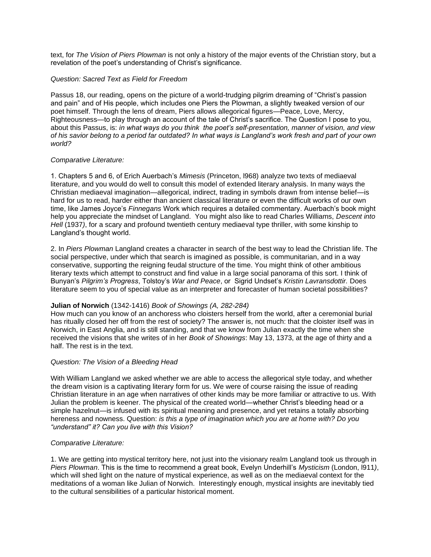text, for *The Vision of Piers Plowman* is not only a history of the major events of the Christian story, but a revelation of the poet's understanding of Christ's significance.

#### *Question: Sacred Text as Field for Freedom*

Passus 18, our reading, opens on the picture of a world-trudging pilgrim dreaming of "Christ's passion and pain" and of His people, which includes one Piers the Plowman, a slightly tweaked version of our poet himself. Through the lens of dream, Piers allows allegorical figures—Peace, Love, Mercy, Righteousness—to play through an account of the tale of Christ's sacrifice. The Question I pose to you, about this Passus, is: *in what ways do you think the poet's self-presentation, manner of vision, and view of his savior belong to a period far outdated? In what ways is Langland's work fresh and part of your own world?*

#### *Comparative Literature:*

1. Chapters 5 and 6, of Erich Auerbach's *Mimesis* (Princeton, l968) analyze two texts of mediaeval literature, and you would do well to consult this model of extended literary analysis. In many ways the Christian mediaeval imagination—allegorical, indirect, trading in symbols drawn from intense belief—is hard for us to read, harder either than ancient classical literature or even the difficult works of our own time, like James Joyce's *Finnegans* Work which requires a detailed commentary. Auerbach's book might help you appreciate the mindset of Langland. You might also like to read Charles Williams, *Descent into Hell* (1937*)*, for a scary and profound twentieth century mediaeval type thriller, with some kinship to Langland's thought world.

2. In *Piers Plowman* Langland creates a character in search of the best way to lead the Christian life. The social perspective, under which that search is imagined as possible, is communitarian, and in a way conservative, supporting the reigning feudal structure of the time. You might think of other ambitious literary texts which attempt to construct and find value in a large social panorama of this sort. I think of Bunyan's *Pilgrim's Progress*, Tolstoy's *War and Peace*, or Sigrid Undset's *Kristin Lavransdottir.* Does literature seem to you of special value as an interpreter and forecaster of human societal possibilities?

## **Julian of Norwich** (1342-1416) *Book of Showings (A, 282-284)*

How much can you know of an anchoress who cloisters herself from the world, after a ceremonial burial has ritually closed her off from the rest of society? The answer is, not much: that the cloister itself was in Norwich, in East Anglia, and is still standing, and that we know from Julian exactly the time when she received the visions that she writes of in her *Book of Showings*: May 13, 1373, at the age of thirty and a half. The rest is in the text.

## *Question: The Vision of a Bleeding Head*

With William Langland we asked whether we are able to access the allegorical style today, and whether the dream vision is a captivating literary form for us. We were of course raising the issue of reading Christian literature in an age when narratives of other kinds may be more familiar or attractive to us. With Julian the problem is keener. The physical of the created world—whether Christ's bleeding head or a simple hazelnut—is infused with its spiritual meaning and presence, and yet retains a totally absorbing hereness and nowness. Question: *is this a type of imagination which you are at home with? Do you "understand" it? Can you live with this Vision?*

#### *Comparative Literature:*

1. We are getting into mystical territory here, not just into the visionary realm Langland took us through in *Piers Plowman*. This is the time to recommend a great book, Evelyn Underhill's *Mysticism* (London, l911*)*, which will shed light on the nature of mystical experience, as well as on the mediaeval context for the meditations of a woman like Julian of Norwich. Interestingly enough, mystical insights are inevitably tied to the cultural sensibilities of a particular historical moment.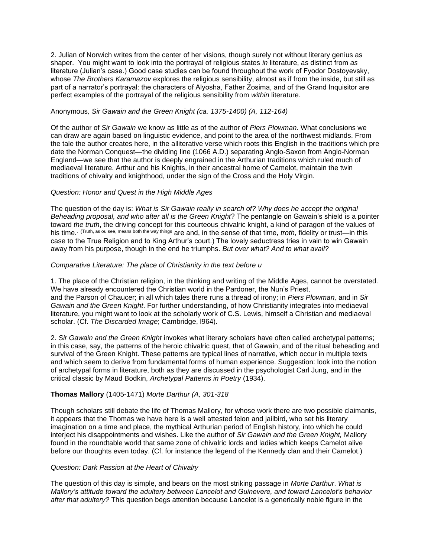2. Julian of Norwich writes from the center of her visions, though surely not without literary genius as shaper. You might want to look into the portrayal of religious states *in* literature, as distinct from *as* literature (Julian's case.) Good case studies can be found throughout the work of Fyodor Dostoyevsky, whose *The Brothers Karamazov* explores the religious sensibility, almost as if from the inside, but still as part of a narrator's portrayal: the characters of Alyosha, Father Zosima, and of the Grand Inquisitor are perfect examples of the portrayal of the religious sensibility from *within* literature.

# Anonymous*, Sir Gawain and the Green Knight (ca. 1375-1400) (A, 112-164)*

Of the author of *Sir Gawain* we know as little as of the author of *Piers Plowman*. What conclusions we can draw are again based on linguistic evidence, and point to the area of the northwest midlands. From the tale the author creates here, in the alliterative verse which roots this English in the traditions which pre date the Norman Conquest—the dividing line (1066 A.D.) separating Anglo-Saxon from Anglo-Norman England—we see that the author is deeply engrained in the Arthurian traditions which ruled much of mediaeval literature. Arthur and his Knights, in their ancestral home of Camelot, maintain the twin traditions of chivalry and knighthood, under the sign of the Cross and the Holy Virgin.

# *Question: Honor and Quest in the High Middle Ages*

The question of the day is: *What is Sir Gawain really in search of? Why does he accept the original Beheading proposal, and who after all is the Green Knight*? The pentangle on Gawain's shield is a pointer toward *the truth*, the driving concept for this courteous chivalric knight, a kind of paragon of the values of his time. (Truth, as ou see, means both the way things are and, in the sense of that time, *troth*, fidelity or trust—in this case to the True Religion and to King Arthur's court.) The lovely seductress tries in vain to win Gawain away from his purpose, though in the end he triumphs. *But over what? And to what avail?* 

# *Comparative Literature: The place of Christianity in the text before u*

1. The place of the Christian religion, in the thinking and writing of the Middle Ages, cannot be overstated. We have already encountered the Christian world in the Pardoner, the Nun's Priest, and the Parson of Chaucer; in all which tales there runs a thread of irony; in *Piers Plowman,* and in *Sir Gawain and the Green Knight*. For further understanding, of how Christianity integrates into mediaeval literature, you might want to look at the scholarly work of C.S. Lewis, himself a Christian and mediaeval scholar. (Cf. *The Discarded Image*; Cambridge, l964).

2. *Sir Gawain and the Green Knight* invokes what literary scholars have often called archetypal patterns; in this case, say, the patterns of the heroic chivalric quest, that of Gawain, and of the ritual beheading and survival of the Green Knight. These patterns are typical lines of narrative, which occur in multiple texts and which seem to derive from fundamental forms of human experience. Suggestion: look into the notion of archetypal forms in literature, both as they are discussed in the psychologist Carl Jung, and in the critical classic by Maud Bodkin, *Archetypal Patterns in Poetry* (1934).

# **Thomas Mallory** (1405-1471) *Morte Darthur (A, 301-318*

Though scholars still debate the life of Thomas Mallory, for whose work there are two possible claimants, it appears that the Thomas we have here is a well attested felon and jailbird, who set his literary imagination on a time and place, the mythical Arthurian period of English history, into which he could interject his disappointments and wishes. Like the author of *Sir Gawain and the Green Knight,* Mallory found in the roundtable world that same zone of chivalric lords and ladies which keeps Camelot alive before our thoughts even today. (Cf. for instance the legend of the Kennedy clan and their Camelot.)

## *Question: Dark Passion at the Heart of Chivalry*

The question of this day is simple, and bears on the most striking passage in *Morte Darthur*. *What is Mallory's attitude toward the adultery between Lancelot and Guinevere, and toward Lancelot's behavior after that adultery?* This question begs attention because Lancelot is a generically noble figure in the